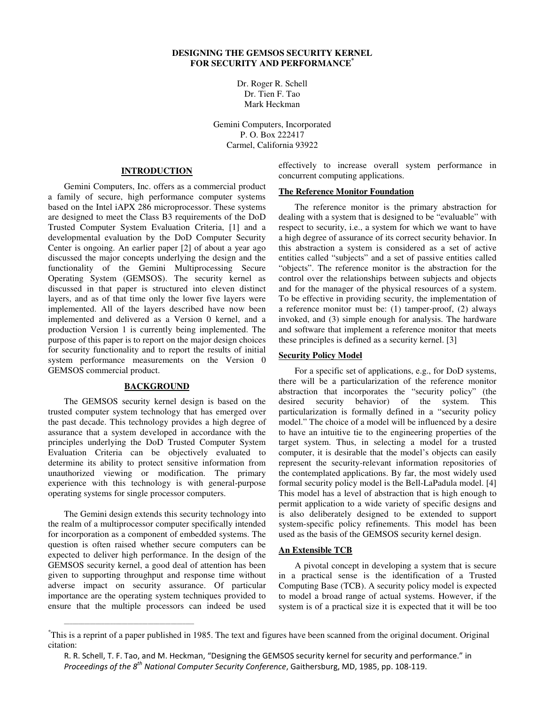# **DESIGNING THE GEMSOS SECURITY KERNEL FOR SECURITY AND PERFORMANCE\***

Dr. Roger R. Schell Dr. Tien F. Tao Mark Heckman

Gemini Computers, Incorporated P. O. Box 222417 Carmel, California 93922

#### **INTRODUCTION**

Gemini Computers, Inc. offers as a commercial product a family of secure, high performance computer systems based on the Intel iAPX 286 microprocessor. These systems are designed to meet the Class B3 requirements of the DoD Trusted Computer System Evaluation Criteria, [1] and a developmental evaluation by the DoD Computer Security Center is ongoing. An earlier paper [2] of about a year ago discussed the major concepts underlying the design and the functionality of the Gemini Multiprocessing Secure Operating System (GEMSOS). The security kernel as discussed in that paper is structured into eleven distinct layers, and as of that time only the lower five layers were implemented. All of the layers described have now been implemented and delivered as a Version 0 kernel, and a production Version 1 is currently being implemented. The purpose of this paper is to report on the major design choices for security functionality and to report the results of initial system performance measurements on the Version 0 GEMSOS commercial product.

# **BACKGROUND**

The GEMSOS security kernel design is based on the trusted computer system technology that has emerged over the past decade. This technology provides a high degree of assurance that a system developed in accordance with the principles underlying the DoD Trusted Computer System Evaluation Criteria can be objectively evaluated to determine its ability to protect sensitive information from unauthorized viewing or modification. The primary experience with this technology is with general-purpose operating systems for single processor computers.

The Gemini design extends this security technology into the realm of a multiprocessor computer specifically intended for incorporation as a component of embedded systems. The question is often raised whether secure computers can be expected to deliver high performance. In the design of the GEMSOS security kernel, a good deal of attention has been given to supporting throughput and response time without adverse impact on security assurance. Of particular importance are the operating system techniques provided to ensure that the multiple processors can indeed be used

\_\_\_\_\_\_\_\_\_\_\_\_\_\_\_\_\_\_\_\_\_\_\_\_\_\_\_\_\_\_\_\_\_\_\_\_\_\_\_\_\_\_\_\_\_

effectively to increase overall system performance in concurrent computing applications.

### **The Reference Monitor Foundation**

The reference monitor is the primary abstraction for dealing with a system that is designed to be "evaluable" with respect to security, i.e., a system for which we want to have a high degree of assurance of its correct security behavior. In this abstraction a system is considered as a set of active entities called "subjects" and a set of passive entities called "objects". The reference monitor is the abstraction for the control over the relationships between subjects and objects and for the manager of the physical resources of a system. To be effective in providing security, the implementation of a reference monitor must be: (1) tamper-proof, (2) always invoked, and (3) simple enough for analysis. The hardware and software that implement a reference monitor that meets these principles is defined as a security kernel. [3]

#### **Security Policy Model**

For a specific set of applications, e.g., for DoD systems, there will be a particularization of the reference monitor abstraction that incorporates the "security policy" (the desired security behavior) of the system. This particularization is formally defined in a "security policy model." The choice of a model will be influenced by a desire to have an intuitive tie to the engineering properties of the target system. Thus, in selecting a model for a trusted computer, it is desirable that the model's objects can easily represent the security-relevant information repositories of the contemplated applications. By far, the most widely used formal security policy model is the Bell-LaPadula model. [4] This model has a level of abstraction that is high enough to permit application to a wide variety of specific designs and is also deliberately designed to be extended to support system-specific policy refinements. This model has been used as the basis of the GEMSOS security kernel design.

#### **An Extensible TCB**

A pivotal concept in developing a system that is secure in a practical sense is the identification of a Trusted Computing Base (TCB). A security policy model is expected to model a broad range of actual systems. However, if the system is of a practical size it is expected that it will be too

<sup>\*</sup>This is a reprint of a paper published in 1985. The text and figures have been scanned from the original document. Original citation:

R. R. Schell, T. F. Tao, and M. Heckman, "Designing the GEMSOS security kernel for security and performance." in *Proceedings of the 8th National Computer Security Conference*, Gaithersburg, MD, 1985, pp. 108-119.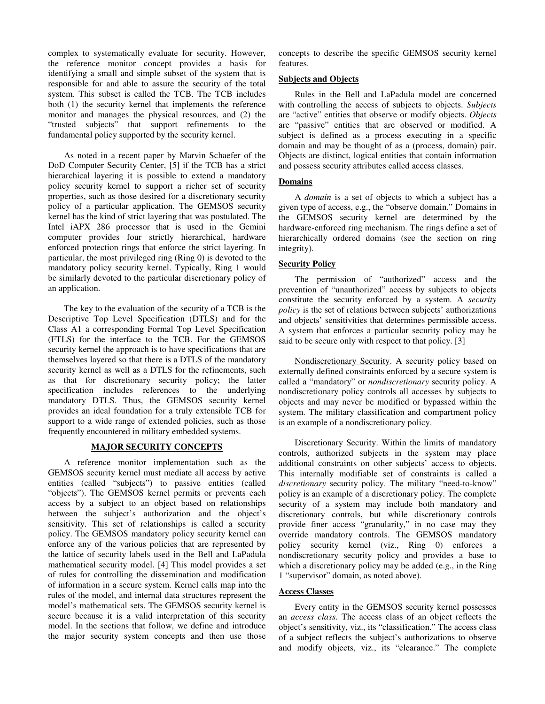complex to systematically evaluate for security. However, the reference monitor concept provides a basis for identifying a small and simple subset of the system that is responsible for and able to assure the security of the total system. This subset is called the TCB. The TCB includes both (1) the security kernel that implements the reference monitor and manages the physical resources, and (2) the "trusted subjects" that support refinements to the fundamental policy supported by the security kernel.

As noted in a recent paper by Marvin Schaefer of the DoD Computer Security Center, [5] if the TCB has a strict hierarchical layering it is possible to extend a mandatory policy security kernel to support a richer set of security properties, such as those desired for a discretionary security policy of a particular application. The GEMSOS security kernel has the kind of strict layering that was postulated. The Intel iAPX 286 processor that is used in the Gemini computer provides four strictly hierarchical, hardware enforced protection rings that enforce the strict layering. In particular, the most privileged ring (Ring 0) is devoted to the mandatory policy security kernel. Typically, Ring 1 would be similarly devoted to the particular discretionary policy of an application.

The key to the evaluation of the security of a TCB is the Descriptive Top Level Specification (DTLS) and for the Class A1 a corresponding Formal Top Level Specification (FTLS) for the interface to the TCB. For the GEMSOS security kernel the approach is to have specifications that are themselves layered so that there is a DTLS of the mandatory security kernel as well as a DTLS for the refinements, such as that for discretionary security policy; the latter specification includes references to the underlying mandatory DTLS. Thus, the GEMSOS security kernel provides an ideal foundation for a truly extensible TCB for support to a wide range of extended policies, such as those frequently encountered in military embedded systems.

# **MAJOR SECURITY CONCEPTS**

A reference monitor implementation such as the GEMSOS security kernel must mediate all access by active entities (called "subjects") to passive entities (called "objects"). The GEMSOS kernel permits or prevents each access by a subject to an object based on relationships between the subject's authorization and the object's sensitivity. This set of relationships is called a security policy. The GEMSOS mandatory policy security kernel can enforce any of the various policies that are represented by the lattice of security labels used in the Bell and LaPadula mathematical security model. [4] This model provides a set of rules for controlling the dissemination and modification of information in a secure system. Kernel calls map into the rules of the model, and internal data structures represent the model's mathematical sets. The GEMSOS security kernel is secure because it is a valid interpretation of this security model. In the sections that follow, we define and introduce the major security system concepts and then use those

concepts to describe the specific GEMSOS security kernel features.

## **Subjects and Objects**

Rules in the Bell and LaPadula model are concerned with controlling the access of subjects to objects. *Subjects* are "active" entities that observe or modify objects. *Objects* are "passive" entities that are observed or modified. A subject is defined as a process executing in a specific domain and may be thought of as a (process, domain) pair. Objects are distinct, logical entities that contain information and possess security attributes called access classes.

## **Domains**

A *domain* is a set of objects to which a subject has a given type of access, e.g., the "observe domain." Domains in the GEMSOS security kernel are determined by the hardware-enforced ring mechanism. The rings define a set of hierarchically ordered domains (see the section on ring integrity).

## **Security Policy**

The permission of "authorized" access and the prevention of "unauthorized" access by subjects to objects constitute the security enforced by a system. A *security policy* is the set of relations between subjects' authorizations and objects' sensitivities that determines permissible access. A system that enforces a particular security policy may be said to be secure only with respect to that policy. [3]

Nondiscretionary Security. A security policy based on externally defined constraints enforced by a secure system is called a "mandatory" or *nondiscretionary* security policy. A nondiscretionary policy controls all accesses by subjects to objects and may never be modified or bypassed within the system. The military classification and compartment policy is an example of a nondiscretionary policy.

Discretionary Security. Within the limits of mandatory controls, authorized subjects in the system may place additional constraints on other subjects' access to objects. This internally modifiable set of constraints is called a *discretionary* security policy. The military "need-to-know" policy is an example of a discretionary policy. The complete security of a system may include both mandatory and discretionary controls, but while discretionary controls provide finer access "granularity," in no case may they override mandatory controls. The GEMSOS mandatory policy security kernel (viz., Ring 0) enforces a nondiscretionary security policy and provides a base to which a discretionary policy may be added (e.g., in the Ring 1 "supervisor" domain, as noted above).

### **Access Classes**

Every entity in the GEMSOS security kernel possesses an *access class*. The access class of an object reflects the object's sensitivity, viz., its "classification." The access class of a subject reflects the subject's authorizations to observe and modify objects, viz., its "clearance." The complete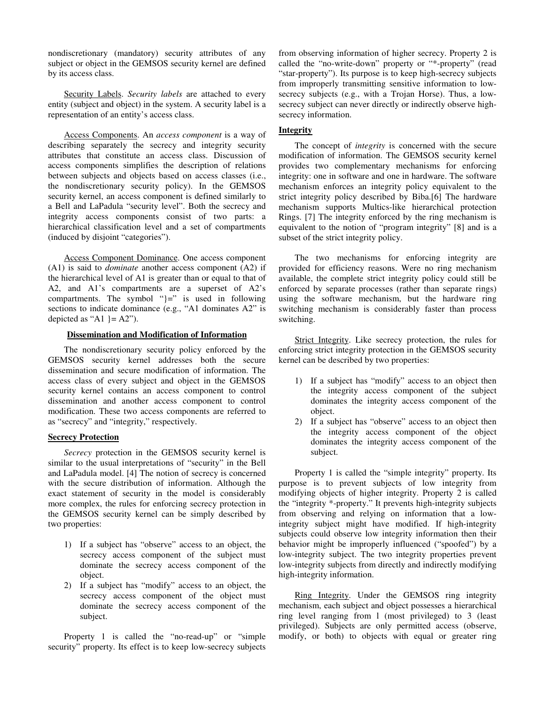nondiscretionary (mandatory) security attributes of any subject or object in the GEMSOS security kernel are defined by its access class.

Security Labels. *Security labels* are attached to every entity (subject and object) in the system. A security label is a representation of an entity's access class.

Access Components. An *access component* is a way of describing separately the secrecy and integrity security attributes that constitute an access class. Discussion of access components simplifies the description of relations between subjects and objects based on access classes (i.e., the nondiscretionary security policy). In the GEMSOS security kernel, an access component is defined similarly to a Bell and LaPadula "security level". Both the secrecy and integrity access components consist of two parts: a hierarchical classification level and a set of compartments (induced by disjoint "categories").

Access Component Dominance. One access component (A1) is said to *dominate* another access component (A2) if the hierarchical level of A1 is greater than or equal to that of A2, and A1's compartments are a superset of A2's compartments. The symbol " $=$ " is used in following sections to indicate dominance (e.g., "A1 dominates A2" is depicted as "A1  $\}$  = A2").

### **Dissemination and Modification of Information**

The nondiscretionary security policy enforced by the GEMSOS security kernel addresses both the secure dissemination and secure modification of information. The access class of every subject and object in the GEMSOS security kernel contains an access component to control dissemination and another access component to control modification. These two access components are referred to as "secrecy" and "integrity," respectively.

### **Secrecy Protection**

*Secrecy* protection in the GEMSOS security kernel is similar to the usual interpretations of "security" in the Bell and LaPadula model. [4] The notion of secrecy is concerned with the secure distribution of information. Although the exact statement of security in the model is considerably more complex, the rules for enforcing secrecy protection in the GEMSOS security kernel can be simply described by two properties:

- 1) If a subject has "observe" access to an object, the secrecy access component of the subject must dominate the secrecy access component of the object.
- 2) If a subject has "modify" access to an object, the secrecy access component of the object must dominate the secrecy access component of the subject.

Property 1 is called the "no-read-up" or "simple security" property. Its effect is to keep low-secrecy subjects

from observing information of higher secrecy. Property 2 is called the "no-write-down" property or "\*-property" (read "star-property"). Its purpose is to keep high-secrecy subjects from improperly transmitting sensitive information to lowsecrecy subjects (e.g., with a Trojan Horse). Thus, a lowsecrecy subject can never directly or indirectly observe highsecrecy information.

# **Integrity**

The concept of *integrity* is concerned with the secure modification of information. The GEMSOS security kernel provides two complementary mechanisms for enforcing integrity: one in software and one in hardware. The software mechanism enforces an integrity policy equivalent to the strict integrity policy described by Biba.[6] The hardware mechanism supports Multics-like hierarchical protection Rings. [7] The integrity enforced by the ring mechanism is equivalent to the notion of "program integrity" [8] and is a subset of the strict integrity policy.

The two mechanisms for enforcing integrity are provided for efficiency reasons. Were no ring mechanism available, the complete strict integrity policy could still be enforced by separate processes (rather than separate rings) using the software mechanism, but the hardware ring switching mechanism is considerably faster than process switching.

Strict Integrity. Like secrecy protection, the rules for enforcing strict integrity protection in the GEMSOS security kernel can be described by two properties:

- 1) If a subject has "modify" access to an object then the integrity access component of the subject dominates the integrity access component of the object.
- 2) If a subject has "observe" access to an object then the integrity access component of the object dominates the integrity access component of the subject.

Property 1 is called the "simple integrity" property. Its purpose is to prevent subjects of low integrity from modifying objects of higher integrity. Property 2 is called the "integrity \*-property." It prevents high-integrity subjects from observing and relying on information that a lowintegrity subject might have modified. If high-integrity subjects could observe low integrity information then their behavior might be improperly influenced ("spoofed") by a low-integrity subject. The two integrity properties prevent low-integrity subjects from directly and indirectly modifying high-integrity information.

Ring Integrity. Under the GEMSOS ring integrity mechanism, each subject and object possesses a hierarchical ring level ranging from l (most privileged) to 3 (least privileged). Subjects are only permitted access (observe, modify, or both) to objects with equal or greater ring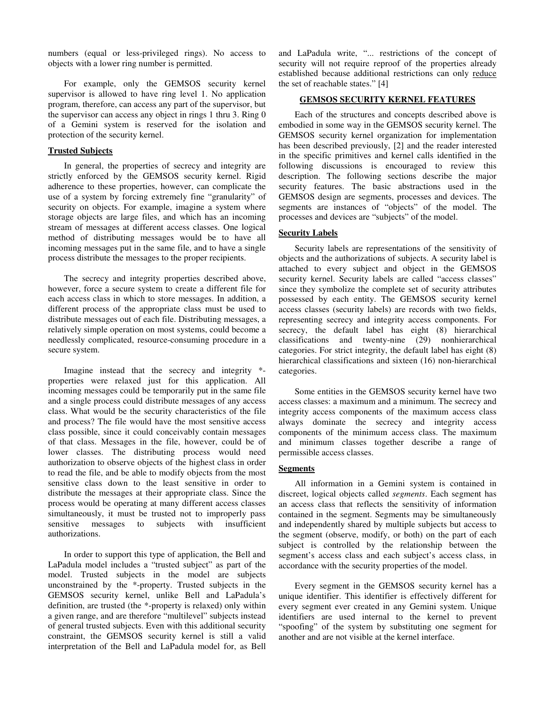numbers (equal or less-privileged rings). No access to objects with a lower ring number is permitted.

For example, only the GEMSOS security kernel supervisor is allowed to have ring level 1. No application program, therefore, can access any part of the supervisor, but the supervisor can access any object in rings 1 thru 3. Ring 0 of a Gemini system is reserved for the isolation and protection of the security kernel.

#### **Trusted Subjects**

In general, the properties of secrecy and integrity are strictly enforced by the GEMSOS security kernel. Rigid adherence to these properties, however, can complicate the use of a system by forcing extremely fine "granularity" of security on objects. For example, imagine a system where storage objects are large files, and which has an incoming stream of messages at different access classes. One logical method of distributing messages would be to have all incoming messages put in the same file, and to have a single process distribute the messages to the proper recipients.

The secrecy and integrity properties described above, however, force a secure system to create a different file for each access class in which to store messages. In addition, a different process of the appropriate class must be used to distribute messages out of each file. Distributing messages, a relatively simple operation on most systems, could become a needlessly complicated, resource-consuming procedure in a secure system.

Imagine instead that the secrecy and integrity \* properties were relaxed just for this application. All incoming messages could be temporarily put in the same file and a single process could distribute messages of any access class. What would be the security characteristics of the file and process? The file would have the most sensitive access class possible, since it could conceivably contain messages of that class. Messages in the file, however, could be of lower classes. The distributing process would need authorization to observe objects of the highest class in order to read the file, and be able to modify objects from the most sensitive class down to the least sensitive in order to distribute the messages at their appropriate class. Since the process would be operating at many different access classes simultaneously, it must be trusted not to improperly pass sensitive messages to subjects with insufficient authorizations.

In order to support this type of application, the Bell and LaPadula model includes a "trusted subject" as part of the model. Trusted subjects in the model are subjects unconstrained by the \*-property. Trusted subjects in the GEMSOS security kernel, unlike Bell and LaPadula's definition, are trusted (the \*-property is relaxed) only within a given range, and are therefore "multilevel" subjects instead of general trusted subjects. Even with this additional security constraint, the GEMSOS security kernel is still a valid interpretation of the Bell and LaPadula model for, as Bell

and LaPadula write, "... restrictions of the concept of security will not require reproof of the properties already established because additional restrictions can only reduce the set of reachable states." [4]

# **GEMSOS SECURITY KERNEL FEATURES**

Each of the structures and concepts described above is embodied in some way in the GEMSOS security kernel. The GEMSOS security kernel organization for implementation has been described previously, [2] and the reader interested in the specific primitives and kernel calls identified in the following discussions is encouraged to review this description. The following sections describe the major security features. The basic abstractions used in the GEMSOS design are segments, processes and devices. The segments are instances of "objects" of the model. The processes and devices are "subjects" of the model.

### **Security Labels**

Security labels are representations of the sensitivity of objects and the authorizations of subjects. A security label is attached to every subject and object in the GEMSOS security kernel. Security labels are called "access classes" since they symbolize the complete set of security attributes possessed by each entity. The GEMSOS security kernel access classes (security labels) are records with two fields, representing secrecy and integrity access components. For secrecy, the default label has eight (8) hierarchical classifications and twenty-nine (29) nonhierarchical categories. For strict integrity, the default label has eight (8) hierarchical classifications and sixteen (16) non-hierarchical categories.

Some entities in the GEMSOS security kernel have two access classes: a maximum and a minimum. The secrecy and integrity access components of the maximum access class always dominate the secrecy and integrity access components of the minimum access class. The maximum and minimum classes together describe a range of permissible access classes.

#### **Segments**

All information in a Gemini system is contained in discreet, logical objects called *segments*. Each segment has an access class that reflects the sensitivity of information contained in the segment. Segments may be simultaneously and independently shared by multiple subjects but access to the segment (observe, modify, or both) on the part of each subject is controlled by the relationship between the segment's access class and each subject's access class, in accordance with the security properties of the model.

Every segment in the GEMSOS security kernel has a unique identifier. This identifier is effectively different for every segment ever created in any Gemini system. Unique identifiers are used internal to the kernel to prevent "spoofing" of the system by substituting one segment for another and are not visible at the kernel interface.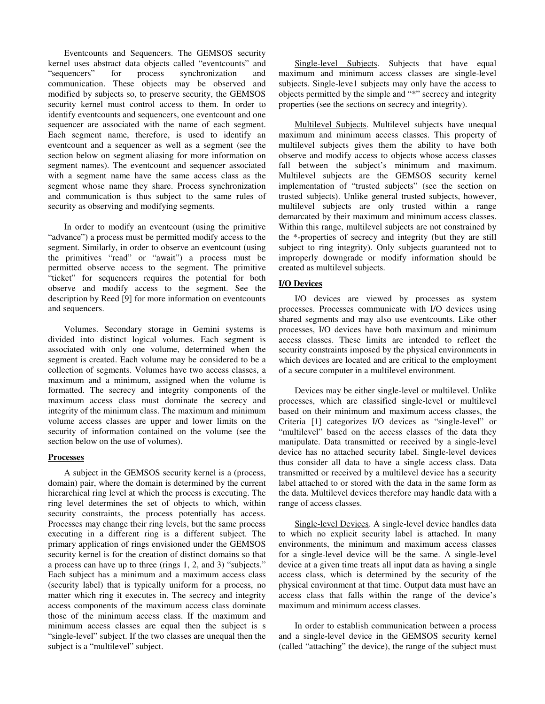Eventcounts and Sequencers. The GEMSOS security kernel uses abstract data objects called "eventcounts" and "sequencers" for process synchronization and "sequencers" for process synchronization and communication. These objects may be observed and modified by subjects so, to preserve security, the GEMSOS security kernel must control access to them. In order to identify eventcounts and sequencers, one eventcount and one sequencer are associated with the name of each segment. Each segment name, therefore, is used to identify an eventcount and a sequencer as well as a segment (see the section below on segment aliasing for more information on segment names). The eventcount and sequencer associated with a segment name have the same access class as the segment whose name they share. Process synchronization and communication is thus subject to the same rules of security as observing and modifying segments.

In order to modify an eventcount (using the primitive "advance") a process must be permitted modify access to the segment. Similarly, in order to observe an eventcount (using the primitives "read" or "await") a process must be permitted observe access to the segment. The primitive "ticket" for sequencers requires the potential for both observe and modify access to the segment. See the description by Reed [9] for more information on eventcounts and sequencers.

Volumes. Secondary storage in Gemini systems is divided into distinct logical volumes. Each segment is associated with only one volume, determined when the segment is created. Each volume may be considered to be a collection of segments. Volumes have two access classes, a maximum and a minimum, assigned when the volume is formatted. The secrecy and integrity components of the maximum access class must dominate the secrecy and integrity of the minimum class. The maximum and minimum volume access classes are upper and lower limits on the security of information contained on the volume (see the section below on the use of volumes).

### **Processes**

A subject in the GEMSOS security kernel is a (process, domain) pair, where the domain is determined by the current hierarchical ring level at which the process is executing. The ring level determines the set of objects to which, within security constraints, the process potentially has access. Processes may change their ring levels, but the same process executing in a different ring is a different subject. The primary application of rings envisioned under the GEMSOS security kernel is for the creation of distinct domains so that a process can have up to three (rings 1, 2, and 3) "subjects." Each subject has a minimum and a maximum access class (security label) that is typically uniform for a process, no matter which ring it executes in. The secrecy and integrity access components of the maximum access class dominate those of the minimum access class. If the maximum and minimum access classes are equal then the subject is s "single-level" subject. If the two classes are unequal then the subject is a "multilevel" subject.

Single-level Subjects. Subjects that have equal maximum and minimum access classes are single-level subjects. Single-leve1 subjects may only have the access to objects permitted by the simple and "\*" secrecy and integrity properties (see the sections on secrecy and integrity).

Multilevel Subjects. Multilevel subjects have unequal maximum and minimum access classes. This property of multilevel subjects gives them the ability to have both observe and modify access to objects whose access classes fall between the subject's minimum and maximum. Multilevel subjects are the GEMSOS security kernel implementation of "trusted subjects" (see the section on trusted subjects). Unlike general trusted subjects, however, multilevel subjects are only trusted within a range demarcated by their maximum and minimum access classes. Within this range, multilevel subjects are not constrained by the \*-properties of secrecy and integrity (but they are still subject to ring integrity). Only subjects guaranteed not to improperly downgrade or modify information should be created as multilevel subjects.

# **I/O Devices**

I/O devices are viewed by processes as system processes. Processes communicate with I/O devices using shared segments and may also use eventcounts. Like other processes, I/O devices have both maximum and minimum access classes. These limits are intended to reflect the security constraints imposed by the physical environments in which devices are located and are critical to the employment of a secure computer in a multilevel environment.

Devices may be either single-level or multilevel. Unlike processes, which are classified single-level or multilevel based on their minimum and maximum access classes, the Criteria [1] categorizes I/O devices as "single-level" or "multilevel" based on the access classes of the data they manipulate. Data transmitted or received by a single-level device has no attached security label. Single-level devices thus consider all data to have a single access class. Data transmitted or received by a multilevel device has a security label attached to or stored with the data in the same form as the data. Multilevel devices therefore may handle data with a range of access classes.

Single-level Devices. A single-level device handles data to which no explicit security label is attached. In many environments, the minimum and maximum access classes for a single-level device will be the same. A single-level device at a given time treats all input data as having a single access class, which is determined by the security of the physical environment at that time. Output data must have an access class that falls within the range of the device's maximum and minimum access classes.

In order to establish communication between a process and a single-level device in the GEMSOS security kernel (called "attaching" the device), the range of the subject must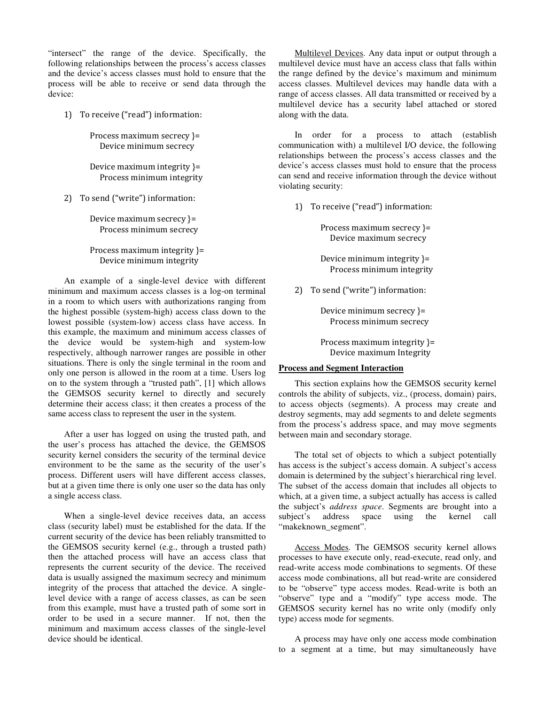"intersect" the range of the device. Specifically, the following relationships between the process's access classes and the device's access classes must hold to ensure that the process will be able to receive or send data through the device:

1) To receive ("read") information:

 Process maximum secrecy }= Device minimum secrecy

 Device maximum integrity }= Process minimum integrity

2) To send ("write") information:

 Device maximum secrecy }= Process minimum secrecy

# Process maximum integrity }= Device minimum integrity

An example of a single-level device with different minimum and maximum access classes is a log-on terminal in a room to which users with authorizations ranging from the highest possible (system-high) access class down to the lowest possible (system-low) access class have access. In this example, the maximum and minimum access classes of the device would be system-high and system-low respectively, although narrower ranges are possible in other situations. There is only the single terminal in the room and only one person is allowed in the room at a time. Users log on to the system through a "trusted path", [1] which allows the GEMSOS security kernel to directly and securely determine their access class; it then creates a process of the same access class to represent the user in the system.

After a user has logged on using the trusted path, and the user's process has attached the device, the GEMSOS security kernel considers the security of the terminal device environment to be the same as the security of the user's process. Different users will have different access classes, but at a given time there is only one user so the data has only a single access class.

When a single-level device receives data, an access class (security label) must be established for the data. If the current security of the device has been reliably transmitted to the GEMSOS security kernel (e.g., through a trusted path) then the attached process will have an access class that represents the current security of the device. The received data is usually assigned the maximum secrecy and minimum integrity of the process that attached the device. A singlelevel device with a range of access classes, as can be seen from this example, must have a trusted path of some sort in order to be used in a secure manner. If not, then the minimum and maximum access classes of the single-level device should be identical.

Multilevel Devices. Any data input or output through a multilevel device must have an access class that falls within the range defined by the device's maximum and minimum access classes. Multilevel devices may handle data with a range of access classes. All data transmitted or received by a multilevel device has a security label attached or stored along with the data.

In order for a process to attach (establish communication with) a multilevel I/O device, the following relationships between the process's access classes and the device's access classes must hold to ensure that the process can send and receive information through the device without violating security:

1) To receive ("read") information:

 Process maximum secrecy }= Device maximum secrecy

 Device minimum integrity }= Process minimum integrity

2) To send ("write") information:

 Device minimum secrecy }= Process minimum secrecy

 Process maximum integrity }= Device maximum Integrity

#### **Process and Segment Interaction**

This section explains how the GEMSOS security kernel controls the ability of subjects, viz., (process, domain) pairs, to access objects (segments). A process may create and destroy segments, may add segments to and delete segments from the process's address space, and may move segments between main and secondary storage.

The total set of objects to which a subject potentially has access is the subject's access domain. A subject's access domain is determined by the subject's hierarchical ring level. The subset of the access domain that includes all objects to which, at a given time, a subject actually has access is called the subject's *address space*. Segments are brought into a subject's address space using the kernel call "makeknown\_segment".

Access Modes. The GEMSOS security kernel allows processes to have execute only, read-execute, read only, and read-write access mode combinations to segments. Of these access mode combinations, all but read-write are considered to be "observe" type access modes. Read-write is both an "observe" type and a "modify" type access mode. The GEMSOS security kernel has no write only (modify only type) access mode for segments.

A process may have only one access mode combination to a segment at a time, but may simultaneously have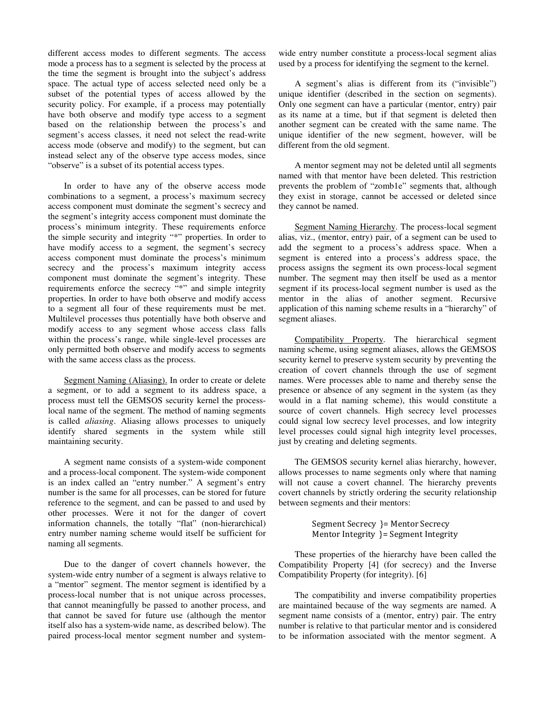different access modes to different segments. The access mode a process has to a segment is selected by the process at the time the segment is brought into the subject's address space. The actual type of access selected need only be a subset of the potential types of access allowed by the security policy. For example, if a process may potentially have both observe and modify type access to a segment based on the relationship between the process's and segment's access classes, it need not select the read-write access mode (observe and modify) to the segment, but can instead select any of the observe type access modes, since "observe" is a subset of its potential access types.

In order to have any of the observe access mode combinations to a segment, a process's maximum secrecy access component must dominate the segment's secrecy and the segment's integrity access component must dominate the process's minimum integrity. These requirements enforce the simple security and integrity "\*" properties. In order to have modify access to a segment, the segment's secrecy access component must dominate the process's minimum secrecy and the process's maximum integrity access component must dominate the segment's integrity. These requirements enforce the secrecy "\*" and simple integrity properties. In order to have both observe and modify access to a segment all four of these requirements must be met. Multilevel processes thus potentially have both observe and modify access to any segment whose access class falls within the process's range, while single-level processes are only permitted both observe and modify access to segments with the same access class as the process.

Segment Naming (Aliasing). In order to create or delete a segment, or to add a segment to its address space, a process must tell the GEMSOS security kernel the processlocal name of the segment. The method of naming segments is called *aliasing*. Aliasing allows processes to uniquely identify shared segments in the system while still maintaining security.

A segment name consists of a system-wide component and a process-local component. The system-wide component is an index called an "entry number." A segment's entry number is the same for all processes, can be stored for future reference to the segment, and can be passed to and used by other processes. Were it not for the danger of covert information channels, the totally "flat" (non-hierarchical) entry number naming scheme would itself be sufficient for naming all segments.

Due to the danger of covert channels however, the system-wide entry number of a segment is always relative to a "mentor" segment. The mentor segment is identified by a process-local number that is not unique across processes, that cannot meaningfully be passed to another process, and that cannot be saved for future use (although the mentor itself also has a system-wide name, as described below). The paired process-local mentor segment number and systemwide entry number constitute a process-local segment alias used by a process for identifying the segment to the kernel.

A segment's alias is different from its ("invisible") unique identifier (described in the section on segments). Only one segment can have a particular (mentor, entry) pair as its name at a time, but if that segment is deleted then another segment can be created with the same name. The unique identifier of the new segment, however, will be different from the old segment.

A mentor segment may not be deleted until all segments named with that mentor have been deleted. This restriction prevents the problem of "zomb1e" segments that, although they exist in storage, cannot be accessed or deleted since they cannot be named.

Segment Naming Hierarchy. The process-local segment alias, viz., (mentor, entry) pair, of a segment can be used to add the segment to a process's address space. When a segment is entered into a process's address space, the process assigns the segment its own process-local segment number. The segment may then itself be used as a mentor segment if its process-local segment number is used as the mentor in the alias of another segment. Recursive application of this naming scheme results in a "hierarchy" of segment aliases.

Compatibility Property. The hierarchical segment naming scheme, using segment aliases, allows the GEMSOS security kernel to preserve system security by preventing the creation of covert channels through the use of segment names. Were processes able to name and thereby sense the presence or absence of any segment in the system (as they would in a flat naming scheme), this would constitute a source of covert channels. High secrecy level processes could signal low secrecy level processes, and low integrity level processes could signal high integrity level processes, just by creating and deleting segments.

The GEMSOS security kernel alias hierarchy, however, allows processes to name segments only where that naming will not cause a covert channel. The hierarchy prevents covert channels by strictly ordering the security relationship between segments and their mentors:

> Segment Secrecy }= Mentor Secrecy Mentor Integrity }= Segment Integrity

These properties of the hierarchy have been called the Compatibility Property [4] (for secrecy) and the Inverse Compatibility Property (for integrity). [6]

The compatibility and inverse compatibility properties are maintained because of the way segments are named. A segment name consists of a (mentor, entry) pair. The entry number is relative to that particular mentor and is considered to be information associated with the mentor segment. A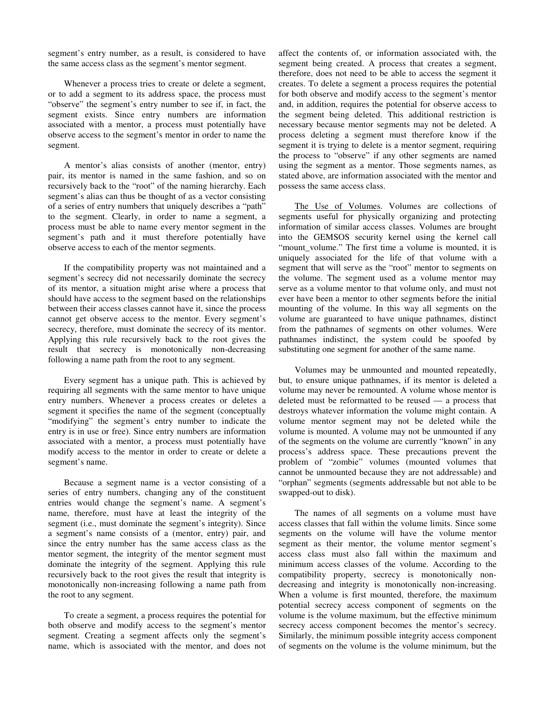segment's entry number, as a result, is considered to have the same access class as the segment's mentor segment.

Whenever a process tries to create or delete a segment, or to add a segment to its address space, the process must "observe" the segment's entry number to see if, in fact, the segment exists. Since entry numbers are information associated with a mentor, a process must potentially have observe access to the segment's mentor in order to name the segment.

A mentor's alias consists of another (mentor, entry) pair, its mentor is named in the same fashion, and so on recursively back to the "root" of the naming hierarchy. Each segment's alias can thus be thought of as a vector consisting of a series of entry numbers that uniquely describes a "path" to the segment. Clearly, in order to name a segment, a process must be able to name every mentor segment in the segment's path and it must therefore potentially have observe access to each of the mentor segments.

If the compatibility property was not maintained and a segment's secrecy did not necessarily dominate the secrecy of its mentor, a situation might arise where a process that should have access to the segment based on the relationships between their access classes cannot have it, since the process cannot get observe access to the mentor. Every segment's secrecy, therefore, must dominate the secrecy of its mentor. Applying this rule recursively back to the root gives the result that secrecy is monotonically non-decreasing following a name path from the root to any segment.

Every segment has a unique path. This is achieved by requiring all segments with the same mentor to have unique entry numbers. Whenever a process creates or deletes a segment it specifies the name of the segment (conceptually "modifying" the segment's entry number to indicate the entry is in use or free). Since entry numbers are information associated with a mentor, a process must potentially have modify access to the mentor in order to create or delete a segment's name.

Because a segment name is a vector consisting of a series of entry numbers, changing any of the constituent entries would change the segment's name. A segment's name, therefore, must have at least the integrity of the segment (i.e., must dominate the segment's integrity). Since a segment's name consists of a (mentor, entry) pair, and since the entry number has the same access class as the mentor segment, the integrity of the mentor segment must dominate the integrity of the segment. Applying this rule recursively back to the root gives the result that integrity is monotonically non-increasing following a name path from the root to any segment.

To create a segment, a process requires the potential for both observe and modify access to the segment's mentor segment. Creating a segment affects only the segment's name, which is associated with the mentor, and does not

affect the contents of, or information associated with, the segment being created. A process that creates a segment, therefore, does not need to be able to access the segment it creates. To delete a segment a process requires the potential for both observe and modify access to the segment's mentor and, in addition, requires the potential for observe access to the segment being deleted. This additional restriction is necessary because mentor segments may not be deleted. A process deleting a segment must therefore know if the segment it is trying to delete is a mentor segment, requiring the process to "observe" if any other segments are named using the segment as a mentor. Those segments names, as stated above, are information associated with the mentor and possess the same access class.

The Use of Volumes. Volumes are collections of segments useful for physically organizing and protecting information of similar access classes. Volumes are brought into the GEMSOS security kernel using the kernel call "mount\_volume." The first time a volume is mounted, it is uniquely associated for the life of that volume with a segment that will serve as the "root" mentor to segments on the volume. The segment used as a volume mentor may serve as a volume mentor to that volume only, and must not ever have been a mentor to other segments before the initial mounting of the volume. In this way all segments on the volume are guaranteed to have unique pathnames, distinct from the pathnames of segments on other volumes. Were pathnames indistinct, the system could be spoofed by substituting one segment for another of the same name.

Volumes may be unmounted and mounted repeatedly, but, to ensure unique pathnames, if its mentor is deleted a volume may never be remounted. A volume whose mentor is deleted must be reformatted to be reused — a process that destroys whatever information the volume might contain. A volume mentor segment may not be deleted while the volume is mounted. A volume may not be unmounted if any of the segments on the volume are currently "known" in any process's address space. These precautions prevent the problem of "zombie" volumes (mounted volumes that cannot be unmounted because they are not addressable) and "orphan" segments (segments addressable but not able to be swapped-out to disk).

The names of all segments on a volume must have access classes that fall within the volume limits. Since some segments on the volume will have the volume mentor segment as their mentor, the volume mentor segment's access class must also fall within the maximum and minimum access classes of the volume. According to the compatibility property, secrecy is monotonically nondecreasing and integrity is monotonically non-increasing. When a volume is first mounted, therefore, the maximum potential secrecy access component of segments on the volume is the volume maximum, but the effective minimum secrecy access component becomes the mentor's secrecy. Similarly, the minimum possible integrity access component of segments on the volume is the volume minimum, but the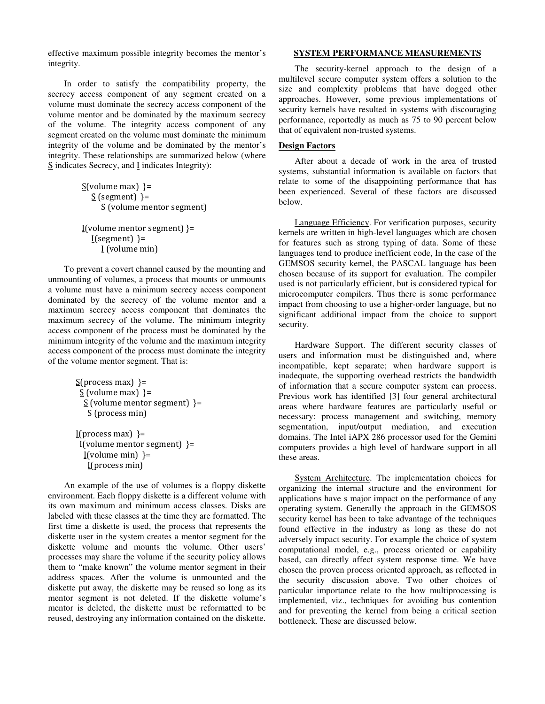effective maximum possible integrity becomes the mentor's integrity.

In order to satisfy the compatibility property, the secrecy access component of any segment created on a volume must dominate the secrecy access component of the volume mentor and be dominated by the maximum secrecy of the volume. The integrity access component of any segment created on the volume must dominate the minimum integrity of the volume and be dominated by the mentor's integrity. These relationships are summarized below (where S indicates Secrecy, and I indicates Integrity):

```
S(volume max)}=
  S (segment) }=
     S (volume mentor segment) 
I(volume mentor segment)}=
```

```
I(segment) }=
   I (volume min)
```
To prevent a covert channel caused by the mounting and unmounting of volumes, a process that mounts or unmounts a volume must have a minimum secrecy access component dominated by the secrecy of the volume mentor and a maximum secrecy access component that dominates the maximum secrecy of the volume. The minimum integrity access component of the process must be dominated by the minimum integrity of the volume and the maximum integrity access component of the process must dominate the integrity of the volume mentor segment. That is:

```
S(process max) }=
S (volume max) }=
 S (volume mentor segment) }=
   S (process min)
```
I(process max)  $=$  $I(volume$  mentor segment) }=  $I(volume min)$ }= I(process min)

An example of the use of volumes is a floppy diskette environment. Each floppy diskette is a different volume with its own maximum and minimum access classes. Disks are labeled with these classes at the time they are formatted. The first time a diskette is used, the process that represents the diskette user in the system creates a mentor segment for the diskette volume and mounts the volume. Other users' processes may share the volume if the security policy allows them to "make known" the volume mentor segment in their address spaces. After the volume is unmounted and the diskette put away, the diskette may be reused so long as its mentor segment is not deleted. If the diskette volume's mentor is deleted, the diskette must be reformatted to be reused, destroying any information contained on the diskette.

### **SYSTEM PERFORMANCE MEASUREMENTS**

The security-kernel approach to the design of a multilevel secure computer system offers a solution to the size and complexity problems that have dogged other approaches. However, some previous implementations of security kernels have resulted in systems with discouraging performance, reportedly as much as 75 to 90 percent below that of equivalent non-trusted systems.

# **Design Factors**

After about a decade of work in the area of trusted systems, substantial information is available on factors that relate to some of the disappointing performance that has been experienced. Several of these factors are discussed below.

Language Efficiency. For verification purposes, security kernels are written in high-level languages which are chosen for features such as strong typing of data. Some of these languages tend to produce inefficient code, In the case of the GEMSOS security kernel, the PASCAL language has been chosen because of its support for evaluation. The compiler used is not particularly efficient, but is considered typical for microcomputer compilers. Thus there is some performance impact from choosing to use a higher-order language, but no significant additional impact from the choice to support security.

Hardware Support. The different security classes of users and information must be distinguished and, where incompatible, kept separate; when hardware support is inadequate, the supporting overhead restricts the bandwidth of information that a secure computer system can process. Previous work has identified [3] four general architectural areas where hardware features are particularly useful or necessary: process management and switching, memory segmentation, input/output mediation, and execution domains. The Intel iAPX 286 processor used for the Gemini computers provides a high level of hardware support in all these areas.

System Architecture. The implementation choices for organizing the internal structure and the environment for applications have s major impact on the performance of any operating system. Generally the approach in the GEMSOS security kernel has been to take advantage of the techniques found effective in the industry as long as these do not adversely impact security. For example the choice of system computational model, e.g., process oriented or capability based, can directly affect system response time. We have chosen the proven process oriented approach, as reflected in the security discussion above. Two other choices of particular importance relate to the how multiprocessing is implemented, viz., techniques for avoiding bus contention and for preventing the kernel from being a critical section bottleneck. These are discussed below.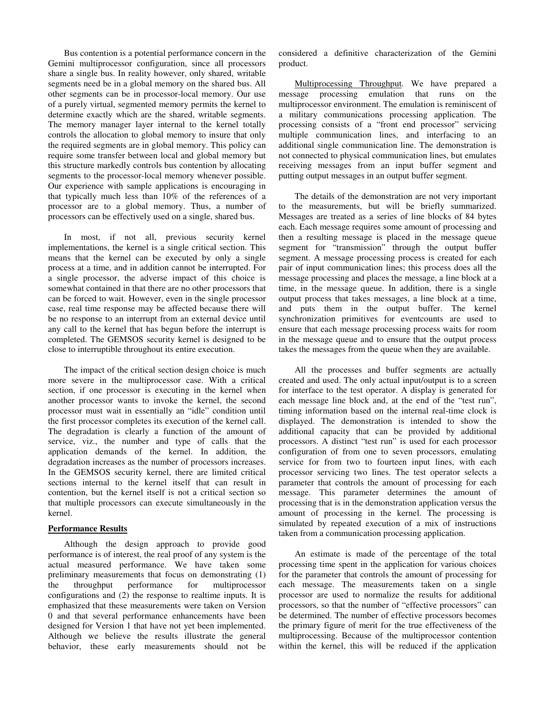Bus contention is a potential performance concern in the Gemini multiprocessor configuration, since all processors share a single bus. In reality however, only shared, writable segments need be in a global memory on the shared bus. All other segments can be in processor-local memory. Our use of a purely virtual, segmented memory permits the kernel to determine exactly which are the shared, writable segments. The memory manager layer internal to the kernel totally controls the allocation to global memory to insure that only the required segments are in global memory. This policy can require some transfer between local and global memory but this structure markedly controls bus contention by allocating segments to the processor-local memory whenever possible. Our experience with sample applications is encouraging in that typically much less than 10% of the references of a processor are to a global memory. Thus, a number of processors can be effectively used on a single, shared bus.

In most, if not all, previous security kernel implementations, the kernel is a single critical section. This means that the kernel can be executed by only a single process at a time, and in addition cannot be interrupted. For a single processor, the adverse impact of this choice is somewhat contained in that there are no other processors that can be forced to wait. However, even in the single processor case, real time response may be affected because there will be no response to an interrupt from an external device until any call to the kernel that has begun before the interrupt is completed. The GEMSOS security kernel is designed to be close to interruptible throughout its entire execution.

The impact of the critical section design choice is much more severe in the multiprocessor case. With a critical section, if one processor is executing in the kernel when another processor wants to invoke the kernel, the second processor must wait in essentially an "idle" condition until the first processor completes its execution of the kernel call. The degradation is clearly a function of the amount of service, viz., the number and type of calls that the application demands of the kernel. In addition, the degradation increases as the number of processors increases. In the GEMSOS security kernel, there are limited critical sections internal to the kernel itself that can result in contention, but the kernel itself is not a critical section so that multiple processors can execute simultaneously in the kernel.

### **Performance Results**

Although the design approach to provide good performance is of interest, the real proof of any system is the actual measured performance. We have taken some preliminary measurements that focus on demonstrating (1) the throughput performance for multiprocessor configurations and (2) the response to realtime inputs. It is emphasized that these measurements were taken on Version 0 and that several performance enhancements have been designed for Version 1 that have not yet been implemented. Although we believe the results illustrate the general behavior, these early measurements should not be considered a definitive characterization of the Gemini product.

Multiprocessing Throughput. We have prepared a message processing emulation that runs on the multiprocessor environment. The emulation is reminiscent of a military communications processing application. The processing consists of a "front end processor" servicing multiple communication lines, and interfacing to an additional single communication line. The demonstration is not connected to physical communication lines, but emulates receiving messages from an input buffer segment and putting output messages in an output buffer segment.

The details of the demonstration are not very important to the measurements, but will be briefly summarized. Messages are treated as a series of line blocks of 84 bytes each. Each message requires some amount of processing and then a resulting message is placed in the message queue segment for "transmission" through the output buffer segment. A message processing process is created for each pair of input communication lines; this process does all the message processing and places the message, a line block at a time, in the message queue. In addition, there is a single output process that takes messages, a line block at a time, and puts them in the output buffer. The kernel synchronization primitives for eventcounts are used to ensure that each message processing process waits for room in the message queue and to ensure that the output process takes the messages from the queue when they are available.

All the processes and buffer segments are actually created and used. The only actual input/output is to a screen for interface to the test operator. A display is generated for each message line block and, at the end of the "test run", timing information based on the internal real-time clock is displayed. The demonstration is intended to show the additional capacity that can be provided by additional processors. A distinct "test run" is used for each processor configuration of from one to seven processors, emulating service for from two to fourteen input lines, with each processor servicing two lines. The test operator selects a parameter that controls the amount of processing for each message. This parameter determines the amount of processing that is in the demonstration application versus the amount of processing in the kernel. The processing is simulated by repeated execution of a mix of instructions taken from a communication processing application.

An estimate is made of the percentage of the total processing time spent in the application for various choices for the parameter that controls the amount of processing for each message. The measurements taken on a single processor are used to normalize the results for additional processors, so that the number of "effective processors" can be determined. The number of effective processors becomes the primary figure of merit for the true effectiveness of the multiprocessing. Because of the multiprocessor contention within the kernel, this will be reduced if the application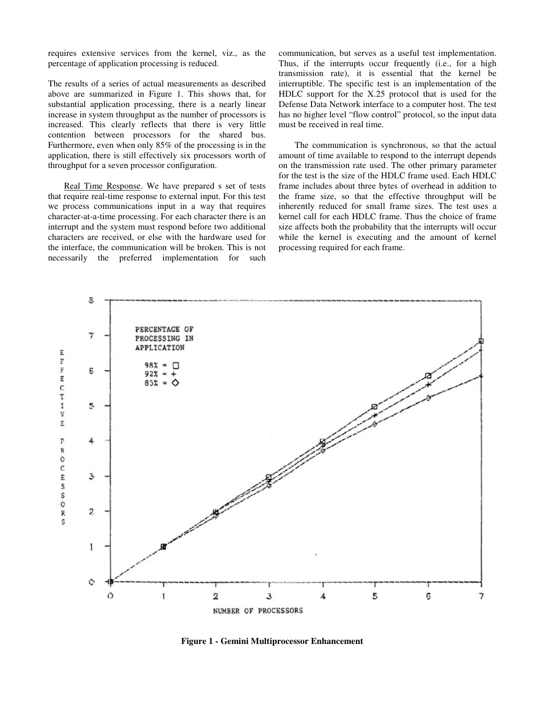requires extensive services from the kernel, viz., as the percentage of application processing is reduced.

The results of a series of actual measurements as described above are summarized in Figure 1. This shows that, for substantial application processing, there is a nearly linear increase in system throughput as the number of processors is increased. This clearly reflects that there is very little contention between processors for the shared bus. Furthermore, even when only 85% of the processing is in the application, there is still effectively six processors worth of throughput for a seven processor configuration.

Real Time Response. We have prepared s set of tests that require real-time response to external input. For this test we process communications input in a way that requires character-at-a-time processing. For each character there is an interrupt and the system must respond before two additional characters are received, or else with the hardware used for the interface, the communication will be broken. This is not necessarily the preferred implementation for such communication, but serves as a useful test implementation. Thus, if the interrupts occur frequently (i.e., for a high transmission rate), it is essential that the kernel be interruptible. The specific test is an implementation of the HDLC support for the X.25 protocol that is used for the Defense Data Network interface to a computer host. The test has no higher level "flow control" protocol, so the input data must be received in real time.

The communication is synchronous, so that the actual amount of time available to respond to the interrupt depends on the transmission rate used. The other primary parameter for the test is the size of the HDLC frame used. Each HDLC frame includes about three bytes of overhead in addition to the frame size, so that the effective throughput will be inherently reduced for small frame sizes. The test uses a kernel call for each HDLC frame. Thus the choice of frame size affects both the probability that the interrupts will occur while the kernel is executing and the amount of kernel processing required for each frame.



**Figure 1 - Gemini Multiprocessor Enhancement**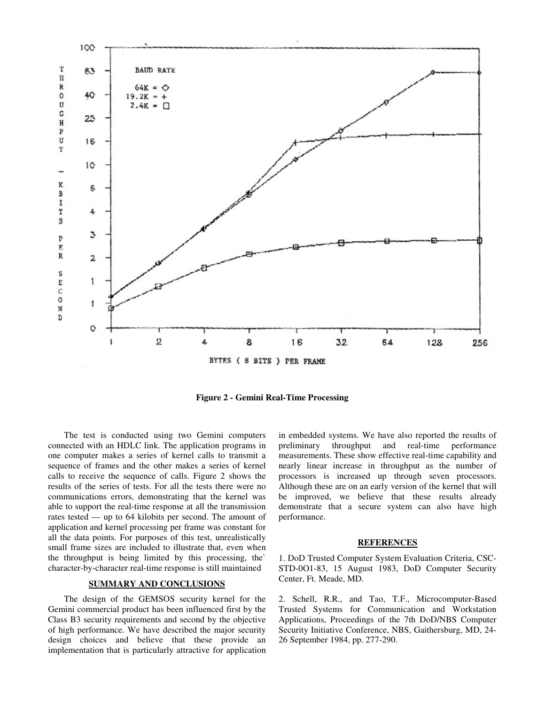

**Figure 2 - Gemini Real-Time Processing** 

The test is conducted using two Gemini computers connected with an HDLC link. The application programs in one computer makes a series of kernel calls to transmit a sequence of frames and the other makes a series of kernel calls to receive the sequence of calls. Figure 2 shows the results of the series of tests. For all the tests there were no communications errors, demonstrating that the kernel was able to support the real-time response at all the transmission rates tested — up to 64 kilobits per second. The amount of application and kernel processing per frame was constant for all the data points. For purposes of this test, unrealistically small frame sizes are included to illustrate that, even when the throughput is being limited by this processing, the` character-by-character real-time response is still maintained

#### **SUMMARY AND CONCLUSIONS**

The design of the GEMSOS security kernel for the Gemini commercial product has been influenced first by the Class B3 security requirements and second by the objective of high performance. We have described the major security design choices and believe that these provide an implementation that is particularly attractive for application

in embedded systems. We have also reported the results of preliminary throughput and real-time performance measurements. These show effective real-time capability and nearly linear increase in throughput as the number of processors is increased up through seven processors. Although these are on an early version of the kernel that will be improved, we believe that these results already demonstrate that a secure system can also have high performance.

#### **REFERENCES**

1. DoD Trusted Computer System Evaluation Criteria, CSC-STD-0O1-83, 15 August 1983, DoD Computer Security Center, Ft. Meade, MD.

2. Schell, R.R., and Tao, T.F., Microcomputer-Based Trusted Systems for Communication and Workstation Applications, Proceedings of the 7th DoD/NBS Computer Security Initiative Conference, NBS, Gaithersburg, MD, 24- 26 September 1984, pp. 277-290.